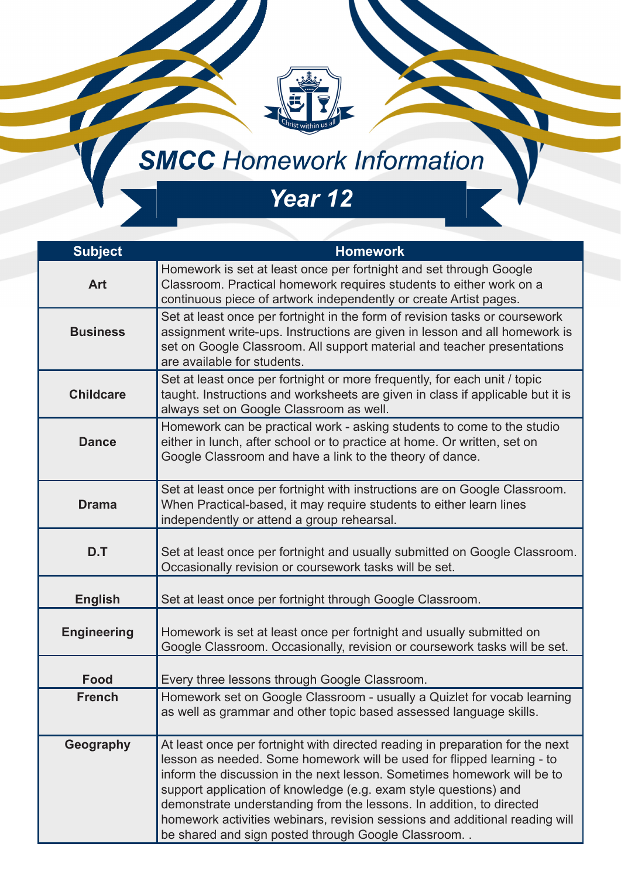## **SMCC** Homework Information

## *Year 12*

| <b>Subject</b>     | <b>Homework</b>                                                                                                                                                                                                                                                                                                                                                                                                                                                                                                     |
|--------------------|---------------------------------------------------------------------------------------------------------------------------------------------------------------------------------------------------------------------------------------------------------------------------------------------------------------------------------------------------------------------------------------------------------------------------------------------------------------------------------------------------------------------|
| <b>Art</b>         | Homework is set at least once per fortnight and set through Google<br>Classroom. Practical homework requires students to either work on a<br>continuous piece of artwork independently or create Artist pages.                                                                                                                                                                                                                                                                                                      |
| <b>Business</b>    | Set at least once per fortnight in the form of revision tasks or coursework<br>assignment write-ups. Instructions are given in lesson and all homework is<br>set on Google Classroom. All support material and teacher presentations<br>are available for students.                                                                                                                                                                                                                                                 |
| <b>Childcare</b>   | Set at least once per fortnight or more frequently, for each unit / topic<br>taught. Instructions and worksheets are given in class if applicable but it is<br>always set on Google Classroom as well.                                                                                                                                                                                                                                                                                                              |
| <b>Dance</b>       | Homework can be practical work - asking students to come to the studio<br>either in lunch, after school or to practice at home. Or written, set on<br>Google Classroom and have a link to the theory of dance.                                                                                                                                                                                                                                                                                                      |
| <b>Drama</b>       | Set at least once per fortnight with instructions are on Google Classroom.<br>When Practical-based, it may require students to either learn lines<br>independently or attend a group rehearsal.                                                                                                                                                                                                                                                                                                                     |
| D.T                | Set at least once per fortnight and usually submitted on Google Classroom.<br>Occasionally revision or coursework tasks will be set.                                                                                                                                                                                                                                                                                                                                                                                |
| <b>English</b>     | Set at least once per fortnight through Google Classroom.                                                                                                                                                                                                                                                                                                                                                                                                                                                           |
| <b>Engineering</b> | Homework is set at least once per fortnight and usually submitted on<br>Google Classroom. Occasionally, revision or coursework tasks will be set.                                                                                                                                                                                                                                                                                                                                                                   |
| <b>Food</b>        | Every three lessons through Google Classroom.                                                                                                                                                                                                                                                                                                                                                                                                                                                                       |
| <b>French</b>      | Homework set on Google Classroom - usually a Quizlet for vocab learning<br>as well as grammar and other topic based assessed language skills.                                                                                                                                                                                                                                                                                                                                                                       |
| Geography          | At least once per fortnight with directed reading in preparation for the next<br>lesson as needed. Some homework will be used for flipped learning - to<br>inform the discussion in the next lesson. Sometimes homework will be to<br>support application of knowledge (e.g. exam style questions) and<br>demonstrate understanding from the lessons. In addition, to directed<br>homework activities webinars, revision sessions and additional reading will<br>be shared and sign posted through Google Classroom |